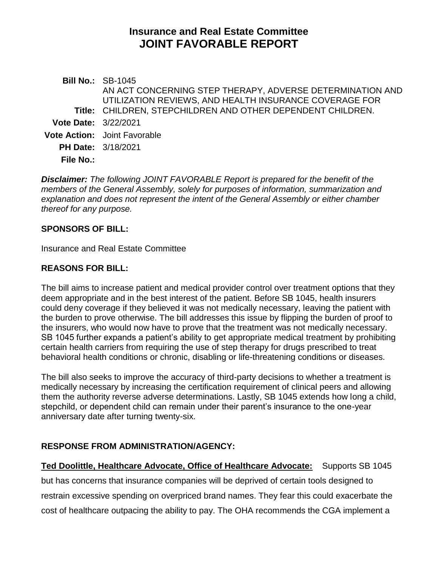# **Insurance and Real Estate Committee JOINT FAVORABLE REPORT**

**Bill No.:** SB-1045 **Title:** CHILDREN, STEPCHILDREN AND OTHER DEPENDENT CHILDREN. AN ACT CONCERNING STEP THERAPY, ADVERSE DETERMINATION AND UTILIZATION REVIEWS, AND HEALTH INSURANCE COVERAGE FOR **Vote Date:** 3/22/2021 **Vote Action:** Joint Favorable **PH Date:** 3/18/2021 **File No.:**

*Disclaimer: The following JOINT FAVORABLE Report is prepared for the benefit of the members of the General Assembly, solely for purposes of information, summarization and explanation and does not represent the intent of the General Assembly or either chamber thereof for any purpose.*

#### **SPONSORS OF BILL:**

Insurance and Real Estate Committee

#### **REASONS FOR BILL:**

The bill aims to increase patient and medical provider control over treatment options that they deem appropriate and in the best interest of the patient. Before SB 1045, health insurers could deny coverage if they believed it was not medically necessary, leaving the patient with the burden to prove otherwise. The bill addresses this issue by flipping the burden of proof to the insurers, who would now have to prove that the treatment was not medically necessary. SB 1045 further expands a patient's ability to get appropriate medical treatment by prohibiting certain health carriers from requiring the use of step therapy for drugs prescribed to treat behavioral health conditions or chronic, disabling or life-threatening conditions or diseases.

The bill also seeks to improve the accuracy of third-party decisions to whether a treatment is medically necessary by increasing the certification requirement of clinical peers and allowing them the authority reverse adverse determinations. Lastly, SB 1045 extends how long a child, stepchild, or dependent child can remain under their parent's insurance to the one-year anniversary date after turning twenty-six.

## **RESPONSE FROM ADMINISTRATION/AGENCY:**

**Ted Doolittle, Healthcare Advocate, Office of Healthcare Advocate:** Supports SB 1045 but has concerns that insurance companies will be deprived of certain tools designed to restrain excessive spending on overpriced brand names. They fear this could exacerbate the cost of healthcare outpacing the ability to pay. The OHA recommends the CGA implement a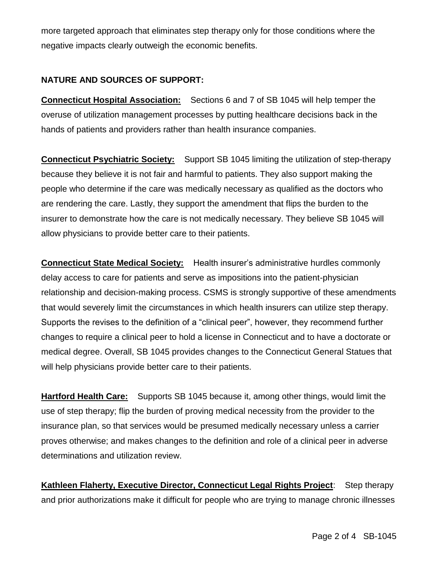more targeted approach that eliminates step therapy only for those conditions where the negative impacts clearly outweigh the economic benefits.

# **NATURE AND SOURCES OF SUPPORT:**

**Connecticut Hospital Association:** Sections 6 and 7 of SB 1045 will help temper the overuse of utilization management processes by putting healthcare decisions back in the hands of patients and providers rather than health insurance companies.

**Connecticut Psychiatric Society:** Support SB 1045 limiting the utilization of step-therapy because they believe it is not fair and harmful to patients. They also support making the people who determine if the care was medically necessary as qualified as the doctors who are rendering the care. Lastly, they support the amendment that flips the burden to the insurer to demonstrate how the care is not medically necessary. They believe SB 1045 will allow physicians to provide better care to their patients.

**Connecticut State Medical Society:** Health insurer's administrative hurdles commonly delay access to care for patients and serve as impositions into the patient-physician relationship and decision-making process. CSMS is strongly supportive of these amendments that would severely limit the circumstances in which health insurers can utilize step therapy. Supports the revises to the definition of a "clinical peer", however, they recommend further changes to require a clinical peer to hold a license in Connecticut and to have a doctorate or medical degree. Overall, SB 1045 provides changes to the Connecticut General Statues that will help physicians provide better care to their patients.

**Hartford Health Care:** Supports SB 1045 because it, among other things, would limit the use of step therapy; flip the burden of proving medical necessity from the provider to the insurance plan, so that services would be presumed medically necessary unless a carrier proves otherwise; and makes changes to the definition and role of a clinical peer in adverse determinations and utilization review.

**Kathleen Flaherty, Executive Director, Connecticut Legal Rights Project**: Step therapy and prior authorizations make it difficult for people who are trying to manage chronic illnesses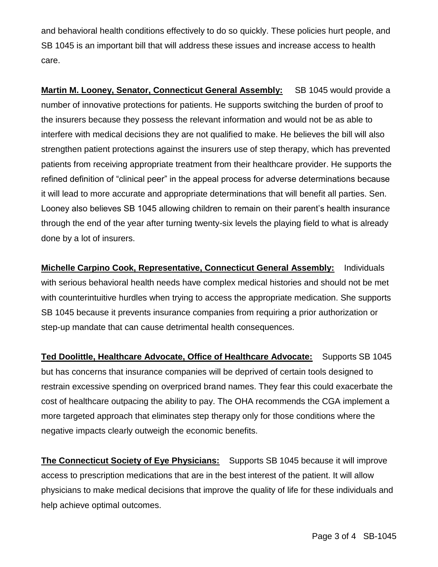and behavioral health conditions effectively to do so quickly. These policies hurt people, and SB 1045 is an important bill that will address these issues and increase access to health care.

**Martin M. Looney, Senator, Connecticut General Assembly:** SB 1045 would provide a number of innovative protections for patients. He supports switching the burden of proof to the insurers because they possess the relevant information and would not be as able to interfere with medical decisions they are not qualified to make. He believes the bill will also strengthen patient protections against the insurers use of step therapy, which has prevented patients from receiving appropriate treatment from their healthcare provider. He supports the refined definition of "clinical peer" in the appeal process for adverse determinations because it will lead to more accurate and appropriate determinations that will benefit all parties. Sen. Looney also believes SB 1045 allowing children to remain on their parent's health insurance through the end of the year after turning twenty-six levels the playing field to what is already done by a lot of insurers.

**Michelle Carpino Cook, Representative, Connecticut General Assembly:** Individuals with serious behavioral health needs have complex medical histories and should not be met with counterintuitive hurdles when trying to access the appropriate medication. She supports SB 1045 because it prevents insurance companies from requiring a prior authorization or step-up mandate that can cause detrimental health consequences.

**Ted Doolittle, Healthcare Advocate, Office of Healthcare Advocate:** Supports SB 1045 but has concerns that insurance companies will be deprived of certain tools designed to restrain excessive spending on overpriced brand names. They fear this could exacerbate the cost of healthcare outpacing the ability to pay. The OHA recommends the CGA implement a more targeted approach that eliminates step therapy only for those conditions where the negative impacts clearly outweigh the economic benefits.

**The Connecticut Society of Eye Physicians:** Supports SB 1045 because it will improve access to prescription medications that are in the best interest of the patient. It will allow physicians to make medical decisions that improve the quality of life for these individuals and help achieve optimal outcomes.